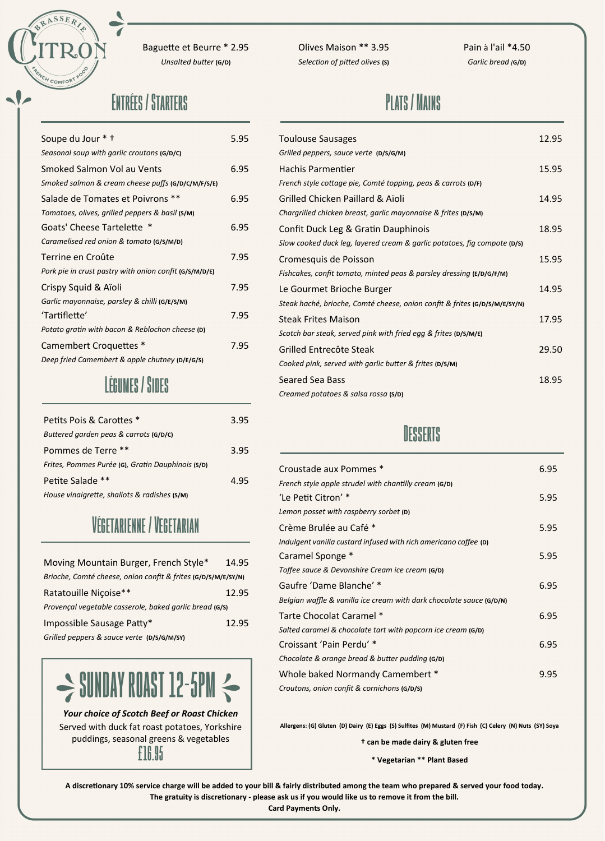

Baguette et Beurre \* 2.95 *Unsalted butter* **(G/D)**

Olives Maison \*\* 3.95 *Selection of pitted olives* **(S)** Pain à l'ail \*4.50 *Garlic bread (***G/D)**

#### **Plats / Mains**

| Soupe du Jour * +                                      | 5.95 | <b>Toulouse Sausag</b>   |
|--------------------------------------------------------|------|--------------------------|
| Seasonal soup with garlic croutons (G/D/C)             |      | Grilled peppers, saud    |
| Smoked Salmon Vol au Vents                             | 6.95 | Hachis Parmenti          |
| Smoked salmon & cream cheese puffs (G/D/C/M/F/S/E)     |      | French style cottage     |
| Salade de Tomates et Poivrons **                       | 6.95 | <b>Grilled Chicken P</b> |
| Tomatoes, olives, grilled peppers & basil (S/M)        |      | Chargrilled chicken b    |
| Goats' Cheese Tartelette *                             | 6.95 | Confit Duck Leg &        |
| Caramelised red onion & tomato (G/S/M/D)               |      | Slow cooked duck le      |
| Terrine en Croûte                                      | 7.95 | Cromesquis de P          |
| Pork pie in crust pastry with onion confit (G/S/M/D/E) |      | Fishcakes, confit ton    |
| Crispy Squid & Aïoli                                   | 7.95 | Le Gourmet Brio          |
| Garlic mayonnaise, parsley & chilli (G/E/S/M)          |      | Steak haché, brioche     |
| 'Tartiflette'                                          | 7.95 | <b>Steak Frites Mais</b> |
| Potato gratin with bacon & Reblochon cheese (D)        |      | Scotch bar steak, ser    |
| Camembert Croquettes *                                 | 7.95 | Grilled Entrecôte        |
| Deep fried Camembert & apple chutney (D/E/G/S)         |      | Cooked pink, served      |
| l řoumro / Pinro                                       |      | Seared Sea Bass          |

| Petits Pois & Carottes *                          | 3.95 |
|---------------------------------------------------|------|
| Buttered garden peas & carrots (G/D/C)            |      |
| Pommes de Terre **                                | 3.95 |
| Frites, Pommes Purée (G), Gratin Dauphinois (S/D) |      |
| Petite Salade **                                  | 4.95 |
| House vinaigrette, shallots & radishes (S/M)      |      |

### **Végetarienne / Vegetarian**

| Moving Mountain Burger, French Style*                         | 14.95 |  |  |  |
|---------------------------------------------------------------|-------|--|--|--|
| Brioche, Comté cheese, onion confit & frites (G/D/S/M/E/SY/N) |       |  |  |  |
| Ratatouille Niçoise**                                         | 12.95 |  |  |  |
| Provençal vegetable casserole, baked garlic bread (G/S)       |       |  |  |  |
| Impossible Sausage Patty*                                     | 12.95 |  |  |  |
| Grilled peppers & sauce verte (D/S/G/M/SY)                    |       |  |  |  |

# $\Rightarrow$  SUNDAY ROAST 12-5PM  $\Leftarrow$

*Your choice of Scotch Beef or Roast Chicken* Served with duck fat roast potatoes, Yorkshire puddings, seasonal greens & vegetables

**£16.95**

| * +                                 | 5.95 | <b>Toulouse Sausages</b>                                                   | 12.95 |
|-------------------------------------|------|----------------------------------------------------------------------------|-------|
| h garlic croutons (G/D/C)           |      | Grilled peppers, sauce verte (D/S/G/M)                                     |       |
| n Vol au Vents                      | 6.95 | <b>Hachis Parmentier</b>                                                   | 15.95 |
| cream cheese puffs (G/D/C/M/F/S/E)  |      | French style cottage pie, Comté topping, peas & carrots (D/F)              |       |
| ates et Poivrons **                 | 6.95 | Grilled Chicken Paillard & Aïoli                                           | 14.95 |
| grilled peppers & basil (S/M)       |      | Chargrilled chicken breast, garlic mayonnaise & frites (D/S/M)             |       |
| Tartelette *                        | 6.95 | Confit Duck Leg & Gratin Dauphinois                                        | 18.95 |
| nion & tomato (G/S/M/D)             |      | Slow cooked duck leg, layered cream & garlic potatoes, fig compote (D/S)   |       |
| ìte                                 | 7.95 | Cromesquis de Poisson                                                      | 15.95 |
| astry with onion confit (G/S/M/D/E) |      | Fishcakes, confit tomato, minted peas & parsley dressing (E/D/G/F/M)       |       |
| Aïoli                               | 7.95 | Le Gourmet Brioche Burger                                                  | 14.95 |
| , parsley & chilli (G/E/S/M)        |      | Steak haché, brioche, Comté cheese, onion confit & frites (G/D/S/M/E/SY/N) |       |
|                                     | 7.95 | <b>Steak Frites Maison</b>                                                 | 17.95 |
| bacon & Reblochon cheese (D)        |      | Scotch bar steak, served pink with fried egg & frites (D/S/M/E)            |       |
| oquettes *                          | 7.95 | Grilled Entrecôte Steak                                                    | 29.50 |
| bert & apple chutney (D/E/G/S)      |      | Cooked pink, served with garlic butter & frites (D/S/M)                    |       |
| <b><i>I FGIIMES</i></b>             |      | Seared Sea Bass                                                            | 18.95 |
|                                     |      | Creamed potatoes & salsa rossa (S/D)                                       |       |

## **Desserts**

| Croustade aux Pommes *                                               | 6.95 |
|----------------------------------------------------------------------|------|
| French style apple strudel with chantilly cream (G/D)                |      |
| 'Le Petit Citron' *                                                  | 5.95 |
| Lemon posset with raspberry sorbet (D)                               |      |
| Crème Brulée au Café *                                               | 5.95 |
| Indulgent vanilla custard infused with rich americano coffee (D)     |      |
| Caramel Sponge *                                                     | 5.95 |
| Toffee sauce & Devonshire Cream ice cream (G/D)                      |      |
| Gaufre 'Dame Blanche' *                                              | 6.95 |
| Belgian waffle & vanilla ice cream with dark chocolate sauce (G/D/N) |      |
| Tarte Chocolat Caramel *                                             | 6.95 |
| Salted caramel & chocolate tart with popcorn ice cream (G/D)         |      |
| Croissant 'Pain Perdu' *                                             | 6.95 |
| Chocolate & orange bread & butter pudding (G/D)                      |      |
| Whole baked Normandy Camembert *                                     | 9.95 |
| Croutons, onion confit & cornichons (G/D/S)                          |      |

**Allergens: (G) Gluten (D) Dairy (E) Eggs (S) Sulfites (M) Mustard (F) Fish (C) Celery (N) Nuts (SY) Soya**

**† can be made dairy & gluten free**

**\* Vegetarian \*\* Plant Based**

**A discretionary 10% service charge will be added to your bill & fairly distributed among the team who prepared & served your food today. The gratuity is discretionary - please ask us if you would like us to remove it from the bill.** 

**Card Payments Only.**